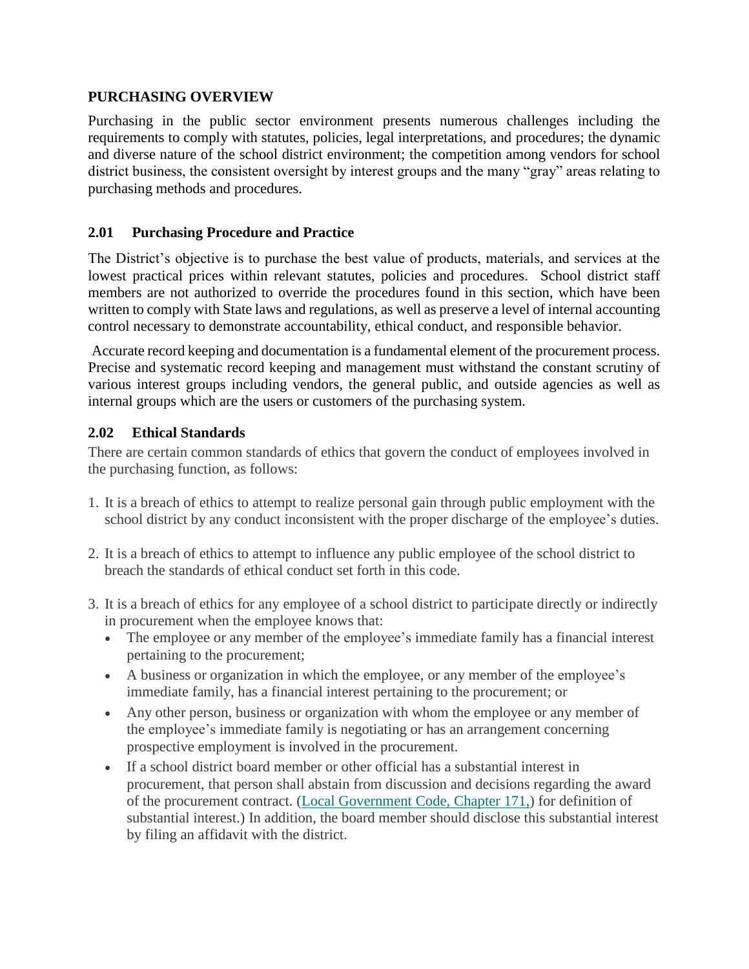#### **PURCHASING OVERVIEW**

Purchasing in the public sector environment presents numerous challenges including the requirements to comply with statutes, policies, legal interpretations, and procedures; the dynamic and diverse nature of the school district environment; the competition among vendors for school district business, the consistent oversight by interest groups and the many "gray" areas relating to purchasing methods and procedures.

### **2.01 Purchasing Procedure and Practice**

The District's objective is to purchase the best value of products, materials, and services at the lowest practical prices within relevant statutes, policies and procedures. School district staff members are not authorized to override the procedures found in this section, which have been written to comply with State laws and regulations, as well as preserve a level of internal accounting control necessary to demonstrate accountability, ethical conduct, and responsible behavior.

Accurate record keeping and documentation is a fundamental element of the procurement process. Precise and systematic record keeping and management must withstand the constant scrutiny of various interest groups including vendors, the general public, and outside agencies as well as internal groups which are the users or customers of the purchasing system.

### **2.02 Ethical Standards**

There are certain common standards of ethics that govern the conduct of employees involved in the purchasing function, as follows:

- 1. It is a breach of ethics to attempt to realize personal gain through public employment with the school district by any conduct inconsistent with the proper discharge of the employee's duties.
- 2. It is a breach of ethics to attempt to influence any public employee of the school district to breach the standards of ethical conduct set forth in this code.
- 3. It is a breach of ethics for any employee of a school district to participate directly or indirectly in procurement when the employee knows that:
	- The employee or any member of the employee's immediate family has a financial interest pertaining to the procurement;
	- A business or organization in which the employee, or any member of the employee's immediate family, has a financial interest pertaining to the procurement; or
	- Any other person, business or organization with whom the employee or any member of the employee's immediate family is negotiating or has an arrangement concerning prospective employment is involved in the procurement.
	- If a school district board member or other official has a substantial interest in procurement, that person shall abstain from discussion and decisions regarding the award of the procurement contract. (Local [Government](http://www.google.com/url?q=http%3A%2F%2Fwww.statutes.legis.state.tx.us%2FDocs%2FLG%2Fhtm%2FLG.171.htm%23171.002&sa=D&sntz=1&usg=AFQjCNFQ8qFwwTsGmG9c9pRC9rXiyL8KPA) Code, Chapter 171,) for definition of substantial interest.) In addition, the board member should disclose this substantial interest by filing an affidavit with the district.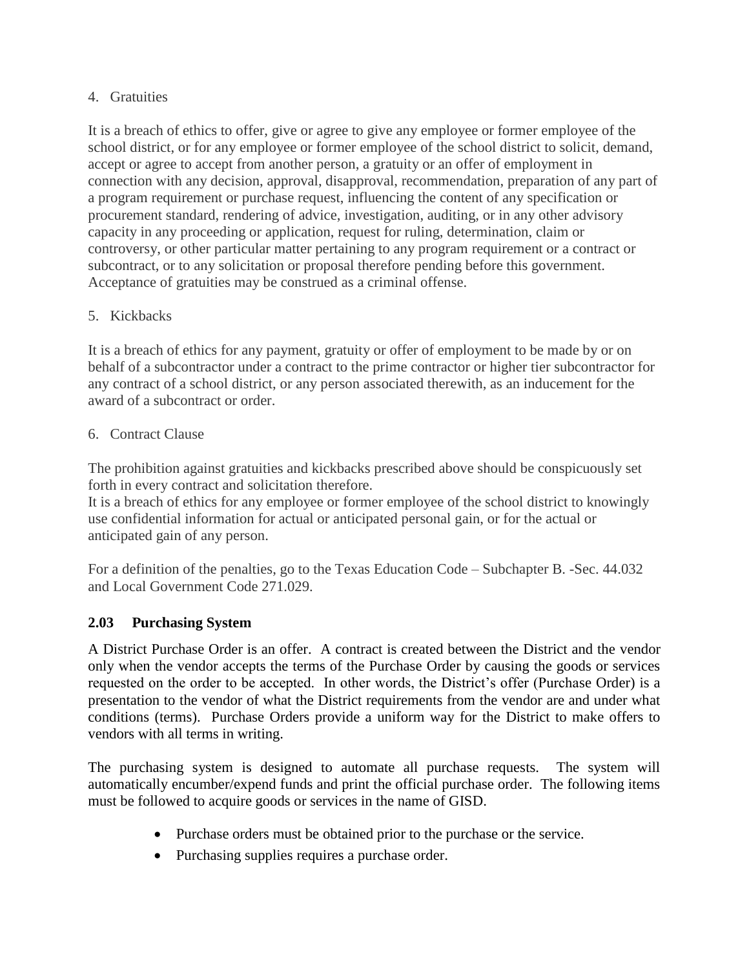### 4. Gratuities

It is a breach of ethics to offer, give or agree to give any employee or former employee of the school district, or for any employee or former employee of the school district to solicit, demand, accept or agree to accept from another person, a gratuity or an offer of employment in connection with any decision, approval, disapproval, recommendation, preparation of any part of a program requirement or purchase request, influencing the content of any specification or procurement standard, rendering of advice, investigation, auditing, or in any other advisory capacity in any proceeding or application, request for ruling, determination, claim or controversy, or other particular matter pertaining to any program requirement or a contract or subcontract, or to any solicitation or proposal therefore pending before this government. Acceptance of gratuities may be construed as a criminal offense.

# 5. Kickbacks

It is a breach of ethics for any payment, gratuity or offer of employment to be made by or on behalf of a subcontractor under a contract to the prime contractor or higher tier subcontractor for any contract of a school district, or any person associated therewith, as an inducement for the award of a subcontract or order.

# 6. Contract Clause

The prohibition against gratuities and kickbacks prescribed above should be conspicuously set forth in every contract and solicitation therefore.

It is a breach of ethics for any employee or former employee of the school district to knowingly use confidential information for actual or anticipated personal gain, or for the actual or anticipated gain of any person.

For a definition of the penalties, go to the Texas Education Code – [Subchapter](http://www.google.com/url?q=http%3A%2F%2Fwww.statutes.legis.state.tx.us%2FDocs%2FED%2Fhtm%2FED.44.htm%2344.032&sa=D&sntz=1&usg=AFQjCNHkUqxOuNmivRpkjiz3Ox0bUVe1OA) B. -Sec. 44.032 and Local [Government](http://www.google.com/url?q=http%3A%2F%2Fwww.statutes.legis.state.tx.us%2FDocs%2FED%2Fhtm%2FED.44.htm%2344.032&sa=D&sntz=1&usg=AFQjCNHkUqxOuNmivRpkjiz3Ox0bUVe1OA) Code 271.029.

# **2.03 Purchasing System**

A District Purchase Order is an offer. A contract is created between the District and the vendor only when the vendor accepts the terms of the Purchase Order by causing the goods or services requested on the order to be accepted. In other words, the District's offer (Purchase Order) is a presentation to the vendor of what the District requirements from the vendor are and under what conditions (terms). Purchase Orders provide a uniform way for the District to make offers to vendors with all terms in writing.

The purchasing system is designed to automate all purchase requests. The system will automatically encumber/expend funds and print the official purchase order. The following items must be followed to acquire goods or services in the name of GISD.

- Purchase orders must be obtained prior to the purchase or the service.
- Purchasing supplies requires a purchase order.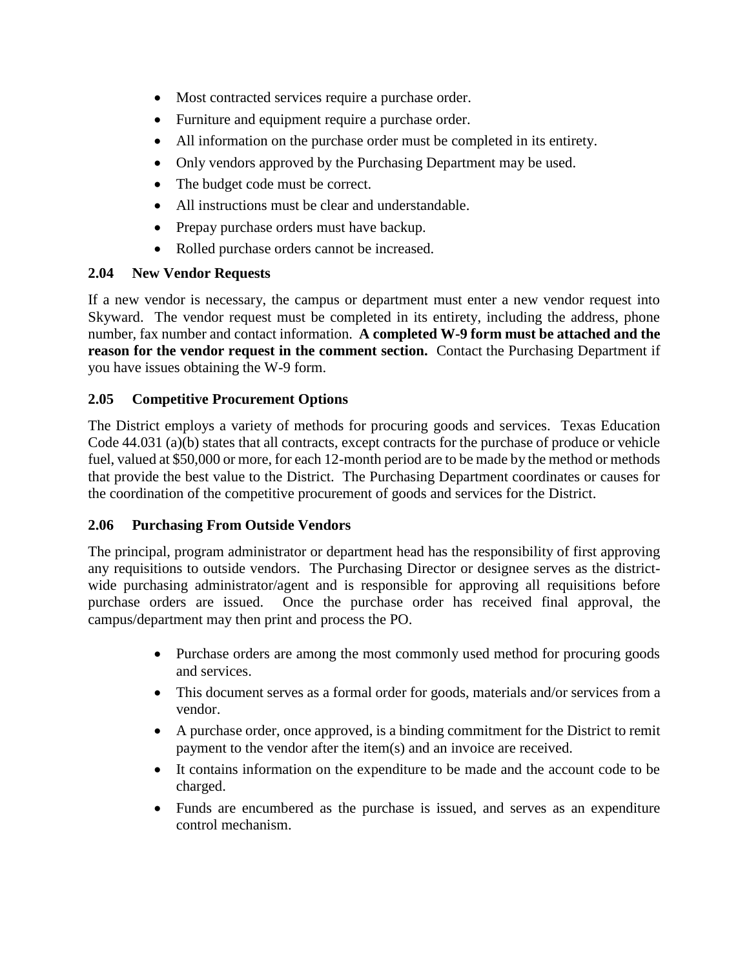- Most contracted services require a purchase order.
- Furniture and equipment require a purchase order.
- All information on the purchase order must be completed in its entirety.
- Only vendors approved by the Purchasing Department may be used.
- The budget code must be correct.
- All instructions must be clear and understandable.
- Prepay purchase orders must have backup.
- Rolled purchase orders cannot be increased.

### **2.04 New Vendor Requests**

If a new vendor is necessary, the campus or department must enter a new vendor request into Skyward. The vendor request must be completed in its entirety, including the address, phone number, fax number and contact information. **A completed W-9 form must be attached and the reason for the vendor request in the comment section.** Contact the Purchasing Department if you have issues obtaining the W-9 form.

# **2.05 Competitive Procurement Options**

The District employs a variety of methods for procuring goods and services. Texas Education Code 44.031 (a)(b) states that all contracts, except contracts for the purchase of produce or vehicle fuel, valued at \$50,000 or more, for each 12-month period are to be made by the method or methods that provide the best value to the District. The Purchasing Department coordinates or causes for the coordination of the competitive procurement of goods and services for the District.

### **2.06 Purchasing From Outside Vendors**

The principal, program administrator or department head has the responsibility of first approving any requisitions to outside vendors. The Purchasing Director or designee serves as the districtwide purchasing administrator/agent and is responsible for approving all requisitions before purchase orders are issued. Once the purchase order has received final approval, the campus/department may then print and process the PO.

- Purchase orders are among the most commonly used method for procuring goods and services.
- This document serves as a formal order for goods, materials and/or services from a vendor.
- A purchase order, once approved, is a binding commitment for the District to remit payment to the vendor after the item(s) and an invoice are received.
- It contains information on the expenditure to be made and the account code to be charged.
- Funds are encumbered as the purchase is issued, and serves as an expenditure control mechanism.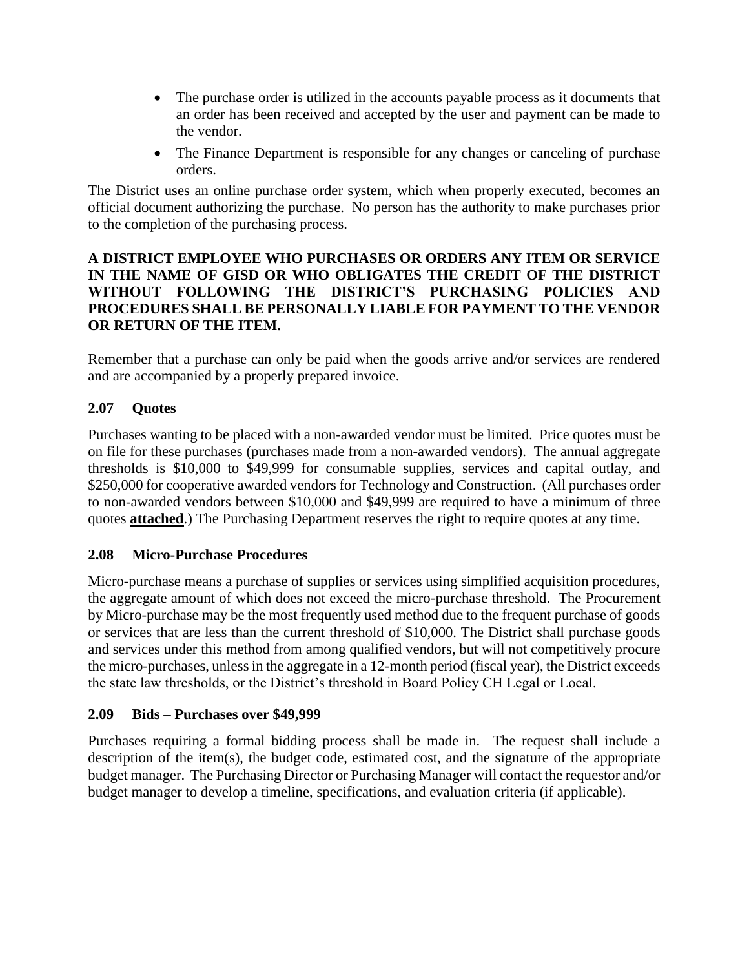- The purchase order is utilized in the accounts payable process as it documents that an order has been received and accepted by the user and payment can be made to the vendor.
- The Finance Department is responsible for any changes or canceling of purchase orders.

The District uses an online purchase order system, which when properly executed, becomes an official document authorizing the purchase. No person has the authority to make purchases prior to the completion of the purchasing process.

## **A DISTRICT EMPLOYEE WHO PURCHASES OR ORDERS ANY ITEM OR SERVICE IN THE NAME OF GISD OR WHO OBLIGATES THE CREDIT OF THE DISTRICT WITHOUT FOLLOWING THE DISTRICT'S PURCHASING POLICIES AND PROCEDURES SHALL BE PERSONALLY LIABLE FOR PAYMENT TO THE VENDOR OR RETURN OF THE ITEM.**

Remember that a purchase can only be paid when the goods arrive and/or services are rendered and are accompanied by a properly prepared invoice.

# **2.07 Quotes**

Purchases wanting to be placed with a non-awarded vendor must be limited. Price quotes must be on file for these purchases (purchases made from a non-awarded vendors). The annual aggregate thresholds is \$10,000 to \$49,999 for consumable supplies, services and capital outlay, and \$250,000 for cooperative awarded vendors for Technology and Construction. (All purchases order to non-awarded vendors between \$10,000 and \$49,999 are required to have a minimum of three quotes **attached**.) The Purchasing Department reserves the right to require quotes at any time.

### **2.08 Micro-Purchase Procedures**

Micro-purchase means a purchase of supplies or services using simplified acquisition procedures, the aggregate amount of which does not exceed the micro-purchase threshold. The Procurement by Micro-purchase may be the most frequently used method due to the frequent purchase of goods or services that are less than the current threshold of \$10,000. The District shall purchase goods and services under this method from among qualified vendors, but will not competitively procure the micro-purchases, unless in the aggregate in a 12-month period (fiscal year), the District exceeds the state law thresholds, or the District's threshold in Board Policy CH Legal or Local.

### **2.09 Bids – Purchases over \$49,999**

Purchases requiring a formal bidding process shall be made in. The request shall include a description of the item(s), the budget code, estimated cost, and the signature of the appropriate budget manager. The Purchasing Director or Purchasing Manager will contact the requestor and/or budget manager to develop a timeline, specifications, and evaluation criteria (if applicable).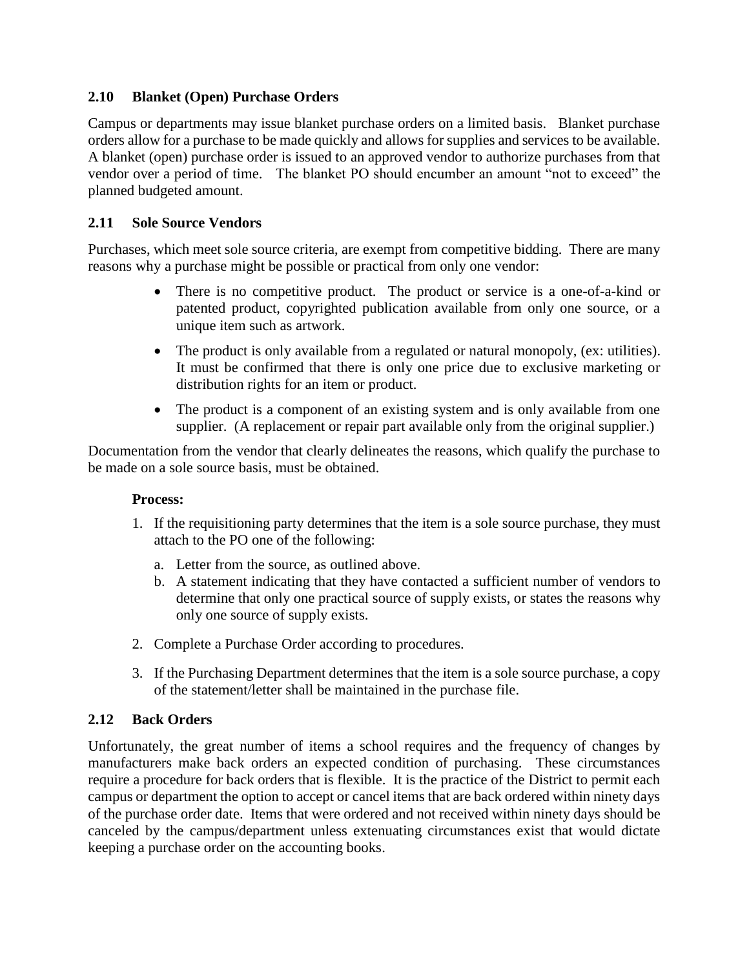### **2.10 Blanket (Open) Purchase Orders**

Campus or departments may issue blanket purchase orders on a limited basis. Blanket purchase orders allow for a purchase to be made quickly and allows for supplies and services to be available. A blanket (open) purchase order is issued to an approved vendor to authorize purchases from that vendor over a period of time. The blanket PO should encumber an amount "not to exceed" the planned budgeted amount.

## **2.11 Sole Source Vendors**

Purchases, which meet sole source criteria, are exempt from competitive bidding. There are many reasons why a purchase might be possible or practical from only one vendor:

- There is no competitive product. The product or service is a one-of-a-kind or patented product, copyrighted publication available from only one source, or a unique item such as artwork.
- The product is only available from a regulated or natural monopoly, (ex: utilities). It must be confirmed that there is only one price due to exclusive marketing or distribution rights for an item or product.
- The product is a component of an existing system and is only available from one supplier. (A replacement or repair part available only from the original supplier.)

Documentation from the vendor that clearly delineates the reasons, which qualify the purchase to be made on a sole source basis, must be obtained.

### **Process:**

- 1. If the requisitioning party determines that the item is a sole source purchase, they must attach to the PO one of the following:
	- a. Letter from the source, as outlined above.
	- b. A statement indicating that they have contacted a sufficient number of vendors to determine that only one practical source of supply exists, or states the reasons why only one source of supply exists.
- 2. Complete a Purchase Order according to procedures.
- 3. If the Purchasing Department determines that the item is a sole source purchase, a copy of the statement/letter shall be maintained in the purchase file.

### **2.12 Back Orders**

Unfortunately, the great number of items a school requires and the frequency of changes by manufacturers make back orders an expected condition of purchasing. These circumstances require a procedure for back orders that is flexible. It is the practice of the District to permit each campus or department the option to accept or cancel items that are back ordered within ninety days of the purchase order date. Items that were ordered and not received within ninety days should be canceled by the campus/department unless extenuating circumstances exist that would dictate keeping a purchase order on the accounting books.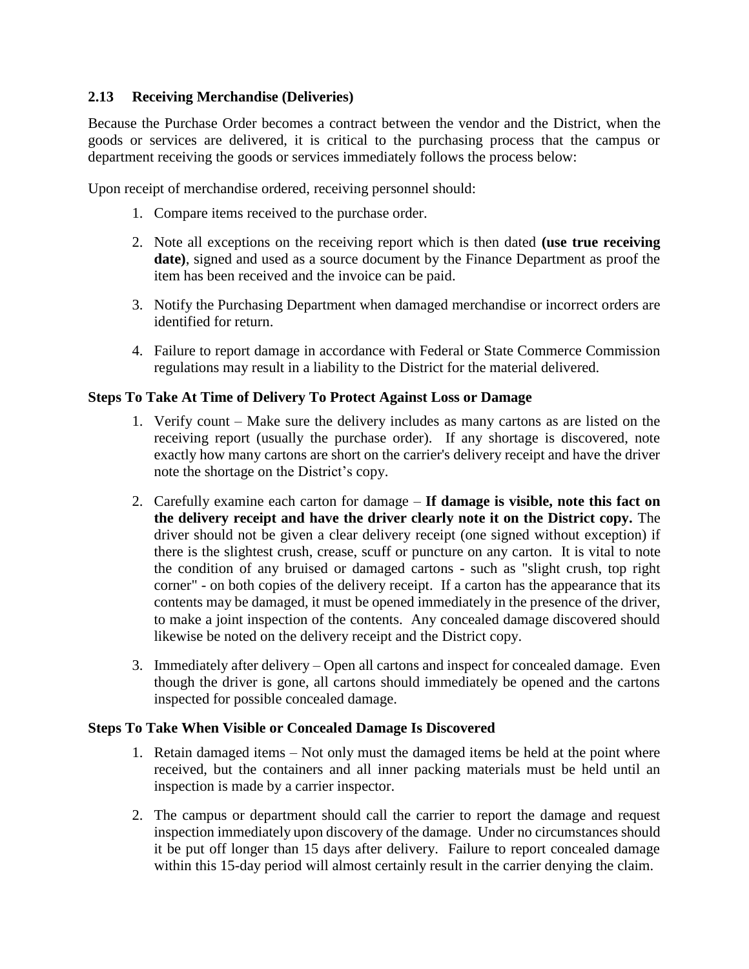### **2.13 Receiving Merchandise (Deliveries)**

Because the Purchase Order becomes a contract between the vendor and the District, when the goods or services are delivered, it is critical to the purchasing process that the campus or department receiving the goods or services immediately follows the process below:

Upon receipt of merchandise ordered, receiving personnel should:

- 1. Compare items received to the purchase order.
- 2. Note all exceptions on the receiving report which is then dated **(use true receiving date)**, signed and used as a source document by the Finance Department as proof the item has been received and the invoice can be paid.
- 3. Notify the Purchasing Department when damaged merchandise or incorrect orders are identified for return.
- 4. Failure to report damage in accordance with Federal or State Commerce Commission regulations may result in a liability to the District for the material delivered.

#### **Steps To Take At Time of Delivery To Protect Against Loss or Damage**

- 1. Verify count Make sure the delivery includes as many cartons as are listed on the receiving report (usually the purchase order). If any shortage is discovered, note exactly how many cartons are short on the carrier's delivery receipt and have the driver note the shortage on the District's copy.
- 2. Carefully examine each carton for damage **If damage is visible, note this fact on the delivery receipt and have the driver clearly note it on the District copy.** The driver should not be given a clear delivery receipt (one signed without exception) if there is the slightest crush, crease, scuff or puncture on any carton. It is vital to note the condition of any bruised or damaged cartons - such as "slight crush, top right corner" - on both copies of the delivery receipt. If a carton has the appearance that its contents may be damaged, it must be opened immediately in the presence of the driver, to make a joint inspection of the contents. Any concealed damage discovered should likewise be noted on the delivery receipt and the District copy.
- 3. Immediately after delivery Open all cartons and inspect for concealed damage. Even though the driver is gone, all cartons should immediately be opened and the cartons inspected for possible concealed damage.

#### **Steps To Take When Visible or Concealed Damage Is Discovered**

- 1. Retain damaged items Not only must the damaged items be held at the point where received, but the containers and all inner packing materials must be held until an inspection is made by a carrier inspector.
- 2. The campus or department should call the carrier to report the damage and request inspection immediately upon discovery of the damage. Under no circumstances should it be put off longer than 15 days after delivery. Failure to report concealed damage within this 15-day period will almost certainly result in the carrier denying the claim.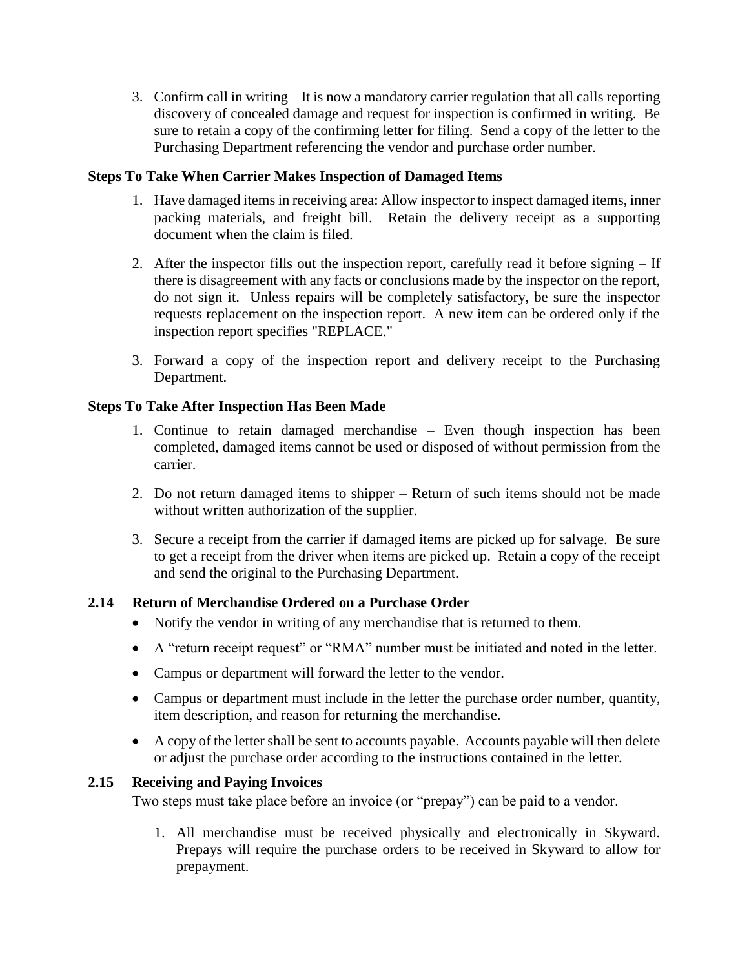3. Confirm call in writing – It is now a mandatory carrier regulation that all calls reporting discovery of concealed damage and request for inspection is confirmed in writing. Be sure to retain a copy of the confirming letter for filing. Send a copy of the letter to the Purchasing Department referencing the vendor and purchase order number.

### **Steps To Take When Carrier Makes Inspection of Damaged Items**

- 1. Have damaged items in receiving area: Allow inspector to inspect damaged items, inner packing materials, and freight bill. Retain the delivery receipt as a supporting document when the claim is filed.
- 2. After the inspector fills out the inspection report, carefully read it before signing If there is disagreement with any facts or conclusions made by the inspector on the report, do not sign it. Unless repairs will be completely satisfactory, be sure the inspector requests replacement on the inspection report. A new item can be ordered only if the inspection report specifies "REPLACE."
- 3. Forward a copy of the inspection report and delivery receipt to the Purchasing Department.

#### **Steps To Take After Inspection Has Been Made**

- 1. Continue to retain damaged merchandise Even though inspection has been completed, damaged items cannot be used or disposed of without permission from the carrier.
- 2. Do not return damaged items to shipper Return of such items should not be made without written authorization of the supplier.
- 3. Secure a receipt from the carrier if damaged items are picked up for salvage. Be sure to get a receipt from the driver when items are picked up. Retain a copy of the receipt and send the original to the Purchasing Department.

#### **2.14 Return of Merchandise Ordered on a Purchase Order**

- Notify the vendor in writing of any merchandise that is returned to them.
- A "return receipt request" or "RMA" number must be initiated and noted in the letter.
- Campus or department will forward the letter to the vendor.
- Campus or department must include in the letter the purchase order number, quantity, item description, and reason for returning the merchandise.
- A copy of the letter shall be sent to accounts payable. Accounts payable will then delete or adjust the purchase order according to the instructions contained in the letter.

#### **2.15 Receiving and Paying Invoices**

Two steps must take place before an invoice (or "prepay") can be paid to a vendor.

1. All merchandise must be received physically and electronically in Skyward. Prepays will require the purchase orders to be received in Skyward to allow for prepayment.